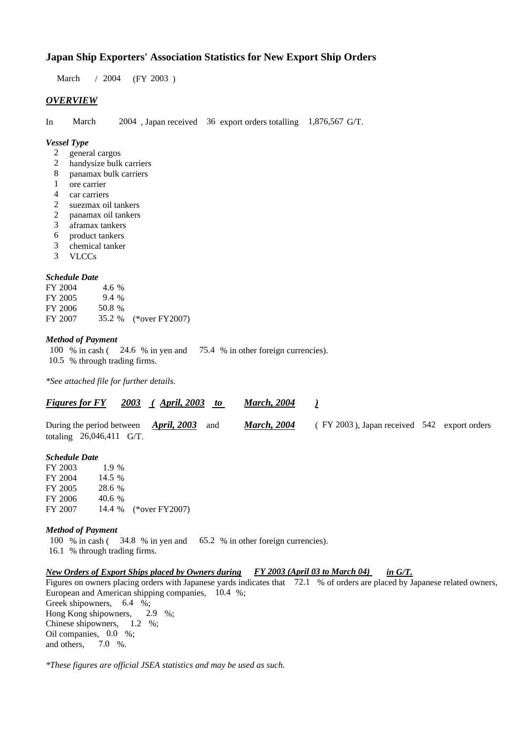# **Japan Ship Exporters' Association Statistics for New Export Ship Orders**

March / 2004 (FY 2003)

## *OVERVIEW*

In March 2004 , Japan received 36 export orders totalling 1,876,567 G/T.

#### *Vessel Type*

- 2 general cargos<br>2 handysize bulk
- handysize bulk carriers
- 8 panamax bulk carriers
- 1 ore carrier
- 4 car carriers
- 2 suezmax oil tankers
- 2 panamax oil tankers
- 3 aframax tankers
- 6 product tankers
- 3 chemical tanker
- 3 VLCCs

#### *Schedule Date*

FY 2004 4.6 % FY 2005 9.4 % FY 2006 50.8 % FY 2007 35.2 % (\*over FY2007)

# *Method of Payment*

100 % in cash ( 24.6 % in yen and 75.4 % in other foreign currencies). 10.5 % through trading firms.

*\*See attached file for further details.*

## *Figures for FY 2003 ( April, 2003 to March, 2004 )*

| During the period between $\triangle$ <i>pril</i> , 2003 and |                            |  |  | <b>March, 2004</b> | (FY 2003), Japan received 542 export orders |  |
|--------------------------------------------------------------|----------------------------|--|--|--------------------|---------------------------------------------|--|
|                                                              | totaling $26,046,411$ G/T. |  |  |                    |                                             |  |

#### *Schedule Date*

| FY 2003 | $1.9\%$ |                       |
|---------|---------|-----------------------|
| FY 2004 | 14.5 %  |                       |
| FY 2005 | 28.6 %  |                       |
| FY 2006 | 40.6 %  |                       |
| FY 2007 |         | 14.4 % (*over FY2007) |

#### *Method of Payment*

100 % in cash ( 34.8 % in yen and 65.2 % in other foreign currencies).

16.1 % through trading firms.

### *New Orders of Export Ships placed by Owners during FY 2003 (April 03 to March 04) in G/T.*

Figures on owners placing orders with Japanese yards indicates that 72.1 % of orders are placed by Japanese related owners, European and American shipping companies, 10.4 %; Greek shipowners, 6.4 %; Hong Kong shipowners, 2.9 %; Chinese shipowners, 1.2 %; Oil companies, 0.0 %; and others, 7.0 %.

*\*These figures are official JSEA statistics and may be used as such.*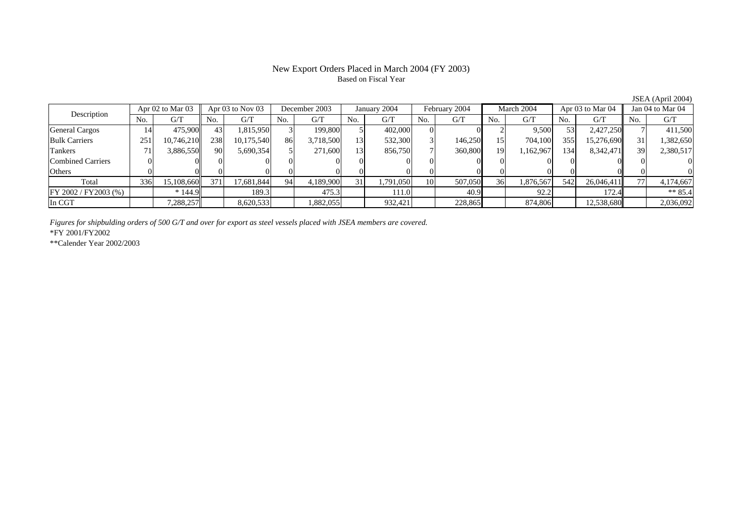#### New Export Orders Placed in March 2004 (FY 2003) Based on Fiscal Year

Description Apr 02 to Mar 03 Apr 03 to Nov 03 December 2003 January 2004 February 2004 March 2004 Apr 03 to Mar 04 Jan 04 to Mar 04<br>No. 1 G/T No. 1 G/T No. 1 G/T No. 1 G/T No. 1 G/T No. 1 G/T No. 1 G/T No. 1 G/T No. 1 G/T  $No.$   $G/T$ T || No. | G/T || No. | G/T || No. | G/T || No. | G/T || G/T || No. | G/T || No. | G/T || No. | G/T General Cargos ( 14 475,900 43 1,815,950 3 199,800 5 402,000 0 0 0 2 9,500 53 2,427,250 7 411,500 Bulk Carriers 2511| 10,746,210|| 238| 10,175,540| 86| 3,718,500| 13| 532,300| 3| 146,250| 15| 704,100| 355| 15,276,690|| 31| 1,382,650 Tankers 71 3,886,550 90 5,690,354 5 271,600 13 856,750 7 360,800 19 1,162,967 134 8,342,471 39 2,380,517 Combined Carriers 1 0 0 0 0 0 0 0 0 0 0 0 0 0 0 0 0 **Others** s and  $\vert 0$  0 0 0 0 0 0 0 0 0 0 0 0 0 0 0 Total 336 15,108,660 371 17,681,844 94 4,189,900 31 1,791,050 10 507,050 36 1,876,567 542 26,046,411 77 4,174,667 FY 2002 / FY 2003 (%) \* 144.9 189.3 189.3 189.3 111.0 111.0 120.9 120.2 172.4 172.4 In CGTT 7,288,257 8,620,533 1,882,055 932,421 228,865 874,806 1.2,538,680 2,036,092

*Figures for shipbulding orders of 500 G/T and over for export as steel vessels placed with JSEA members are covered.*

\*FY 2001/FY2002

\*\*Calender Year 2002/2003

JSEA (April 2004)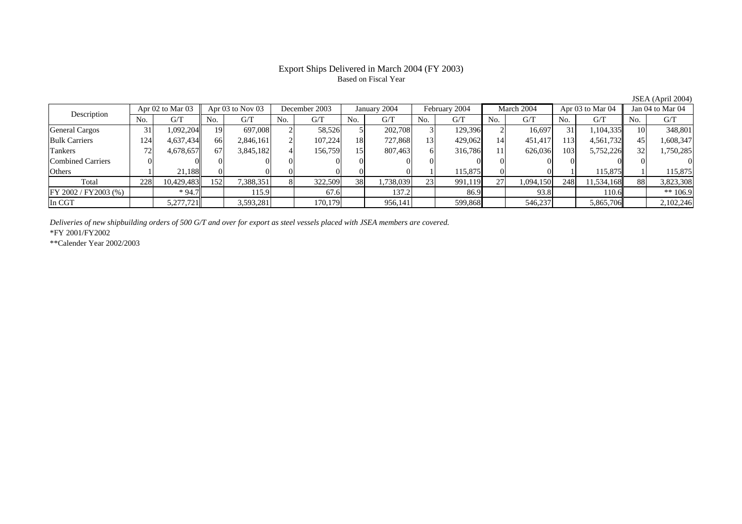#### Export Ships Delivered in March 2004 (FY 2003) Based on Fiscal Year

Description Apr 02 to Mar 03 Apr 03 to Nov 03 December 2003 January 2004 February 2004 March 2004 Apr 03 to Mar 04 Jan 04 to Mar 04<br>No. 1 G/T No. 1 G/T No. 1 G/T No. 1 G/T No. 1 G/T No. 1 G/T No. 1 G/T No. 1 G/T No. 1 G/T  $No.$   $G/T$ T || No. | G/T || No. | G/T || No. | G/T || No. | G/T || G/T || No. | G/T || No. | G/T || No. | G/T General Cargos ( 31 1,092,204 19 697,008 2 58,526 5 202,708 3 129,396 2 16,697 31 1,104,335 10 348,801 Bulk Carriers 1244| 4,637,434|| 66| 2,846,161| 2| 107,224| 18| 727,868| 13| 429,062| 14| 451,417| 113| 4,561,732|| 45| 1,608,347 Tankers 722| 4,678,657|| 67| 3,845,182| 4| 156,759| 15| 807,463| 6| 316,786| 11| 626,036| 103| 5,752,226|| 32| 1,750,285 Combined Carriers 1 0 0 0 0 0 0 0 0 0 0 0 0 0 0 0 0 **Others**  $\sim$  1  $\sim$  1 1 21,188 0 0 0 0 0 0 0 0 1 115,875 0 0 1 115,875 1 115,875 Total 2288| 10,429,483|| 152| 7,388,351| 8| 322,509| 38| 1,738,039| 23| 991,119| 27| 1,094,150| 248| 11,534,168|| 88| 3,823,308 FY 2002 / FY 2003 (%) \* 94.7 115.9 115.9 67.6 137.2 86.9 93.8 110.6 \* 110.6 \* 106.9 In CGT5,277,721 3,593,281 170,179 956,141 599,868 546,237 5,865,706 2,102,246

*Deliveries of new shipbuilding orders of 500 G/T and over for export as steel vessels placed with JSEA members are covered.*

\*FY 2001/FY2002

\*\*Calender Year 2002/2003

JSEA (April 2004)